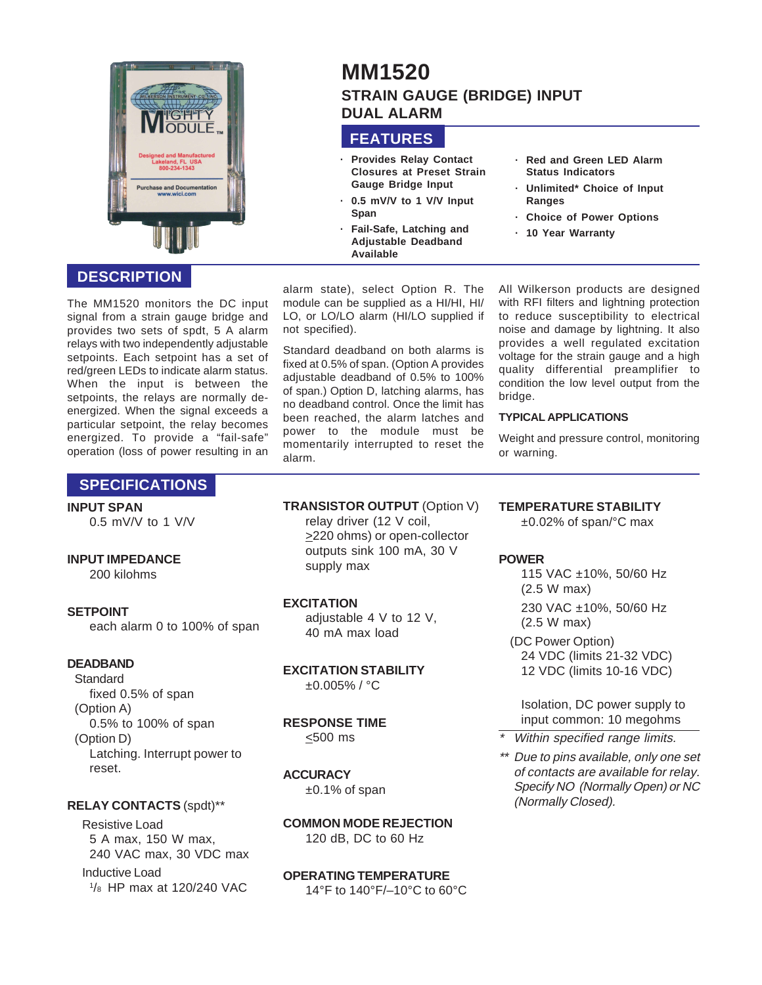

# **DESCRIPTION**

The MM1520 monitors the DC input signal from a strain gauge bridge and provides two sets of spdt, 5 A alarm relays with two independently adjustable setpoints. Each setpoint has a set of red/green LEDs to indicate alarm status. When the input is between the setpoints, the relays are normally deenergized. When the signal exceeds a particular setpoint, the relay becomes energized. To provide a "fail-safe" operation (loss of power resulting in an

# **SPECIFICATIONS**

#### **INPUT SPAN**

0.5 mV/V to 1 V/V

#### **INPUT IMPEDANCE**

200 kilohms

#### **SETPOINT**

each alarm 0 to 100% of span

### **DEADBAND**

**Standard** fixed 0.5% of span (Option A) 0.5% to 100% of span (Option D) Latching. Interrupt power to reset.

#### **RELAY CONTACTS** (spdt)\*\*

Resistive Load 5 A max, 150 W max, 240 VAC max, 30 VDC max Inductive Load 1 /8 HP max at 120/240 VAC

# **MM1520 STRAIN GAUGE (BRIDGE) INPUT DUAL ALARM**

# **FEATURES**

- **· Provides Relay Contact Closures at Preset Strain Gauge Bridge Input**
- **· 0.5 mV/V to 1 V/V Input Span**
- **· Fail-Safe, Latching and Adjustable Deadband Available**

alarm state), select Option R. The module can be supplied as a HI/HI, HI/ LO, or LO/LO alarm (HI/LO supplied if not specified).

Standard deadband on both alarms is fixed at 0.5% of span. (Option A provides adjustable deadband of 0.5% to 100% of span.) Option D, latching alarms, has no deadband control. Once the limit has been reached, the alarm latches and power to the module must be momentarily interrupted to reset the alarm.

All Wilkerson products are designed with RFI filters and lightning protection to reduce susceptibility to electrical noise and damage by lightning. It also provides a well regulated excitation voltage for the strain gauge and a high quality differential preamplifier to condition the low level output from the bridge.

**· Red and Green LED Alarm Status Indicators · Unlimited\* Choice of Input**

**· Choice of Power Options**

**· 10 Year Warranty**

**Ranges**

#### **TYPICAL APPLICATIONS**

Weight and pressure control, monitoring or warning.

### **TRANSISTOR OUTPUT** (Option V)

relay driver (12 V coil, >220 ohms) or open-collector outputs sink 100 mA, 30 V supply max

#### **EXCITATION**

adiustable 4 V to 12 V. 40 mA max load

#### **EXCITATION STABILITY** ±0.005% / °C

# **RESPONSE TIME**

<500 ms

#### **ACCURACY**

±0.1% of span

### **COMMON MODE REJECTION** 120 dB, DC to 60 Hz

**OPERATING TEMPERATURE**

## 14°F to 140°F/–10°C to 60°C

**TEMPERATURE STABILITY**

±0.02% of span/°C max

### **POWER**

115 VAC ±10%, 50/60 Hz (2.5 W max) 230 VAC ±10%, 50/60 Hz (2.5 W max) (DC Power Option) 24 VDC (limits 21-32 VDC) 12 VDC (limits 10-16 VDC)

Isolation, DC power supply to input common: 10 megohms

- \*Within specified range limits.
- \*\* Due to pins available, only one set of contacts are available for relay. Specify NO (Normally Open) or NC (Normally Closed).